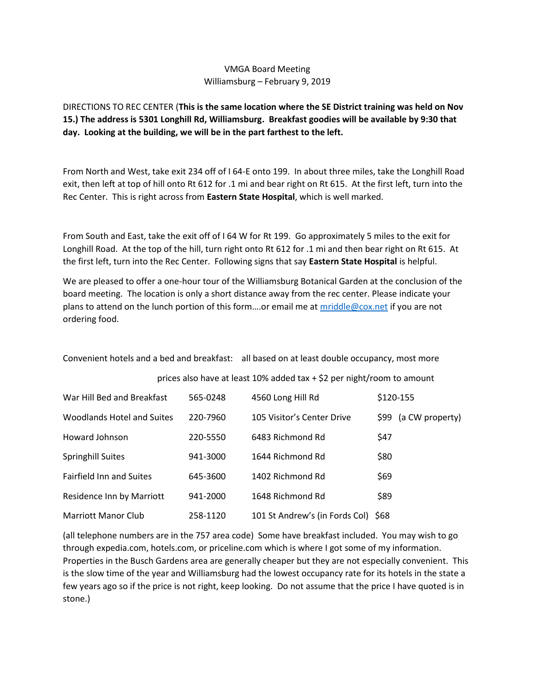## VMGA Board Meeting Williamsburg – February 9, 2019

DIRECTIONS TO REC CENTER (**This is the same location where the SE District training was held on Nov 15.) The address is 5301 Longhill Rd, Williamsburg. Breakfast goodies will be available by 9:30 that day. Looking at the building, we will be in the part farthest to the left.**

From North and West, take exit 234 off of I 64-E onto 199. In about three miles, take the Longhill Road exit, then left at top of hill onto Rt 612 for .1 mi and bear right on Rt 615. At the first left, turn into the Rec Center. This is right across from **Eastern State Hospital**, which is well marked.

From South and East, take the exit off of I 64 W for Rt 199. Go approximately 5 miles to the exit for Longhill Road. At the top of the hill, turn right onto Rt 612 for .1 mi and then bear right on Rt 615. At the first left, turn into the Rec Center. Following signs that say **Eastern State Hospital** is helpful.

We are pleased to offer a one-hour tour of the Williamsburg Botanical Garden at the conclusion of the board meeting. The location is only a short distance away from the rec center. Please indicate your plans to attend on the lunch portion of this form….or email me at [mriddle@cox.net](mailto:mriddle@cox.net) if you are not ordering food.

Convenient hotels and a bed and breakfast: all based on at least double occupancy, most more

prices also have at least 10% added tax + \$2 per night/room to amount

| War Hill Bed and Breakfast      | 565-0248 | 4560 Long Hill Rd                   | \$120-155               |
|---------------------------------|----------|-------------------------------------|-------------------------|
| Woodlands Hotel and Suites      | 220-7960 | 105 Visitor's Center Drive          | (a CW property)<br>\$99 |
| Howard Johnson                  | 220-5550 | 6483 Richmond Rd                    | \$47                    |
| <b>Springhill Suites</b>        | 941-3000 | 1644 Richmond Rd                    | \$80                    |
| <b>Fairfield Inn and Suites</b> | 645-3600 | 1402 Richmond Rd                    | \$69                    |
| Residence Inn by Marriott       | 941-2000 | 1648 Richmond Rd                    | \$89                    |
| Marriott Manor Club             | 258-1120 | 101 St Andrew's (in Fords Col) \$68 |                         |

(all telephone numbers are in the 757 area code) Some have breakfast included. You may wish to go through expedia.com, hotels.com, or priceline.com which is where I got some of my information. Properties in the Busch Gardens area are generally cheaper but they are not especially convenient. This is the slow time of the year and Williamsburg had the lowest occupancy rate for its hotels in the state a few years ago so if the price is not right, keep looking. Do not assume that the price I have quoted is in stone.)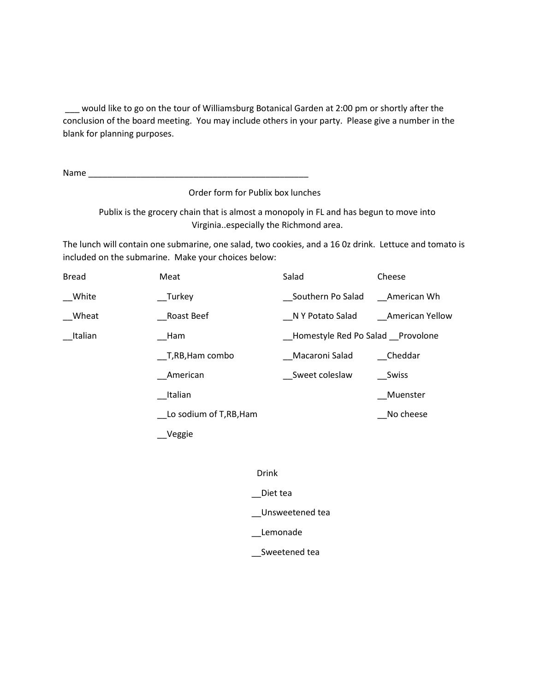\_\_\_ would like to go on the tour of Williamsburg Botanical Garden at 2:00 pm or shortly after the conclusion of the board meeting. You may include others in your party. Please give a number in the blank for planning purposes.

Name \_\_\_\_\_\_\_\_\_\_\_\_\_\_\_\_\_\_\_\_\_\_\_\_\_\_\_\_\_\_\_\_\_\_\_\_\_\_\_\_\_\_\_\_\_\_

Order form for Publix box lunches

Publix is the grocery chain that is almost a monopoly in FL and has begun to move into Virginia..especially the Richmond area.

The lunch will contain one submarine, one salad, two cookies, and a 16 0z drink. Lettuce and tomato is included on the submarine. Make your choices below:

| <b>Bread</b> | Meat                  | Salad                            | Cheese          |
|--------------|-----------------------|----------------------------------|-----------------|
| White        | Turkey                | Southern Po Salad                | American Wh     |
| Wheat        | Roast Beef            | N Y Potato Salad                 | American Yellow |
| Italian      | Ham                   | Homestyle Red Po Salad Provolone |                 |
|              | T,RB,Ham combo        | Macaroni Salad                   | Cheddar         |
|              | American              | Sweet coleslaw                   | Swiss           |
|              | Italian               |                                  | Muenster        |
|              | Lo sodium of T,RB,Ham |                                  | No cheese       |
|              | Veggie                |                                  |                 |

Drink

\_\_Diet tea

\_\_Unsweetened tea

\_\_Lemonade

\_\_Sweetened tea